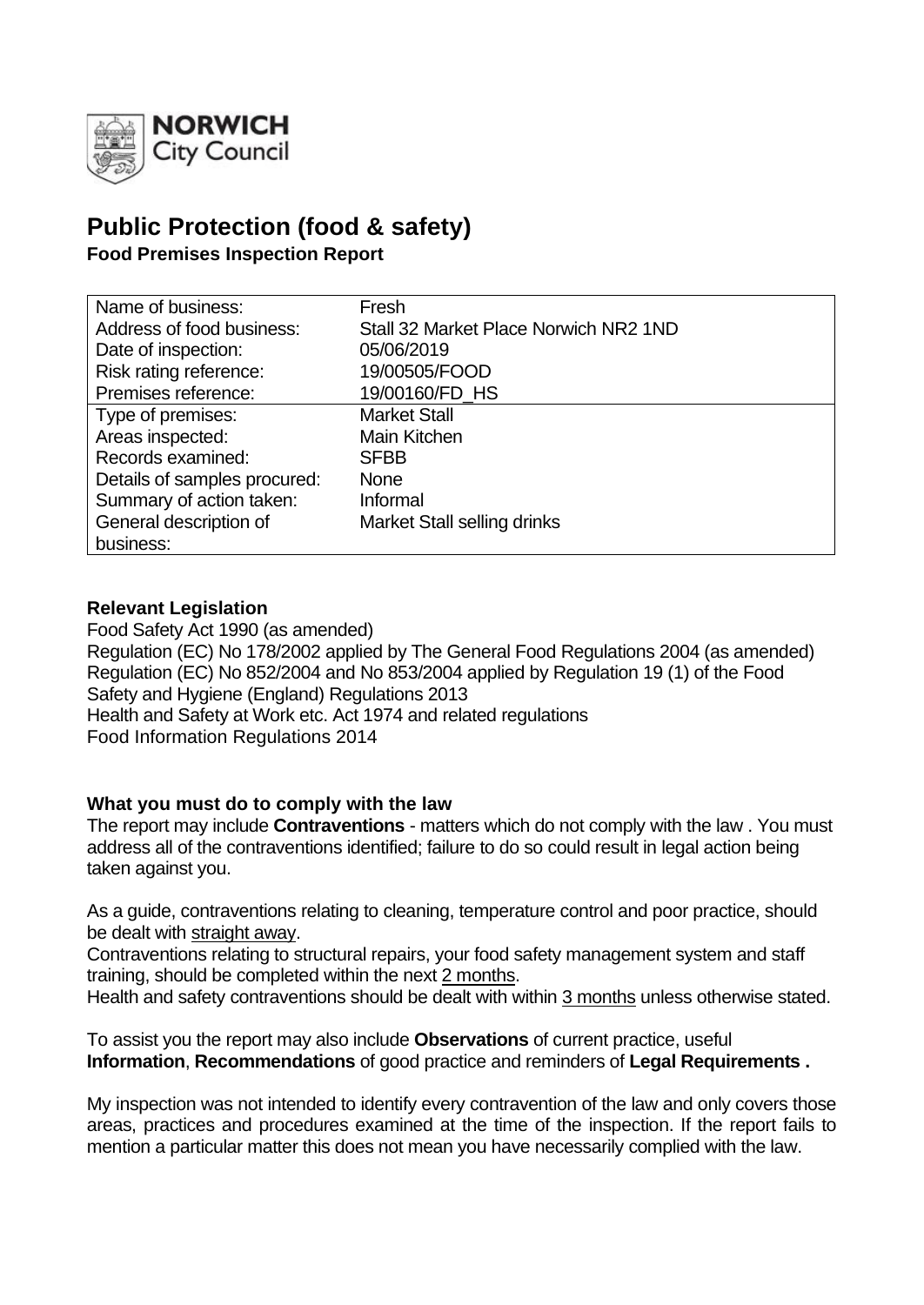

# **Public Protection (food & safety)**

**Food Premises Inspection Report**

| Name of business:            | Fresh                                 |
|------------------------------|---------------------------------------|
| Address of food business:    | Stall 32 Market Place Norwich NR2 1ND |
| Date of inspection:          | 05/06/2019                            |
| Risk rating reference:       | 19/00505/FOOD                         |
| Premises reference:          | 19/00160/FD_HS                        |
| Type of premises:            | <b>Market Stall</b>                   |
| Areas inspected:             | Main Kitchen                          |
| Records examined:            | <b>SFBB</b>                           |
| Details of samples procured: | <b>None</b>                           |
| Summary of action taken:     | Informal                              |
| General description of       | Market Stall selling drinks           |
| business:                    |                                       |

# **Relevant Legislation**

Food Safety Act 1990 (as amended) Regulation (EC) No 178/2002 applied by The General Food Regulations 2004 (as amended) Regulation (EC) No 852/2004 and No 853/2004 applied by Regulation 19 (1) of the Food Safety and Hygiene (England) Regulations 2013 Health and Safety at Work etc. Act 1974 and related regulations Food Information Regulations 2014

# **What you must do to comply with the law**

The report may include **Contraventions** - matters which do not comply with the law . You must address all of the contraventions identified; failure to do so could result in legal action being taken against you.

As a guide, contraventions relating to cleaning, temperature control and poor practice, should be dealt with straight away.

Contraventions relating to structural repairs, your food safety management system and staff training, should be completed within the next 2 months.

Health and safety contraventions should be dealt with within 3 months unless otherwise stated.

To assist you the report may also include **Observations** of current practice, useful **Information**, **Recommendations** of good practice and reminders of **Legal Requirements .**

My inspection was not intended to identify every contravention of the law and only covers those areas, practices and procedures examined at the time of the inspection. If the report fails to mention a particular matter this does not mean you have necessarily complied with the law.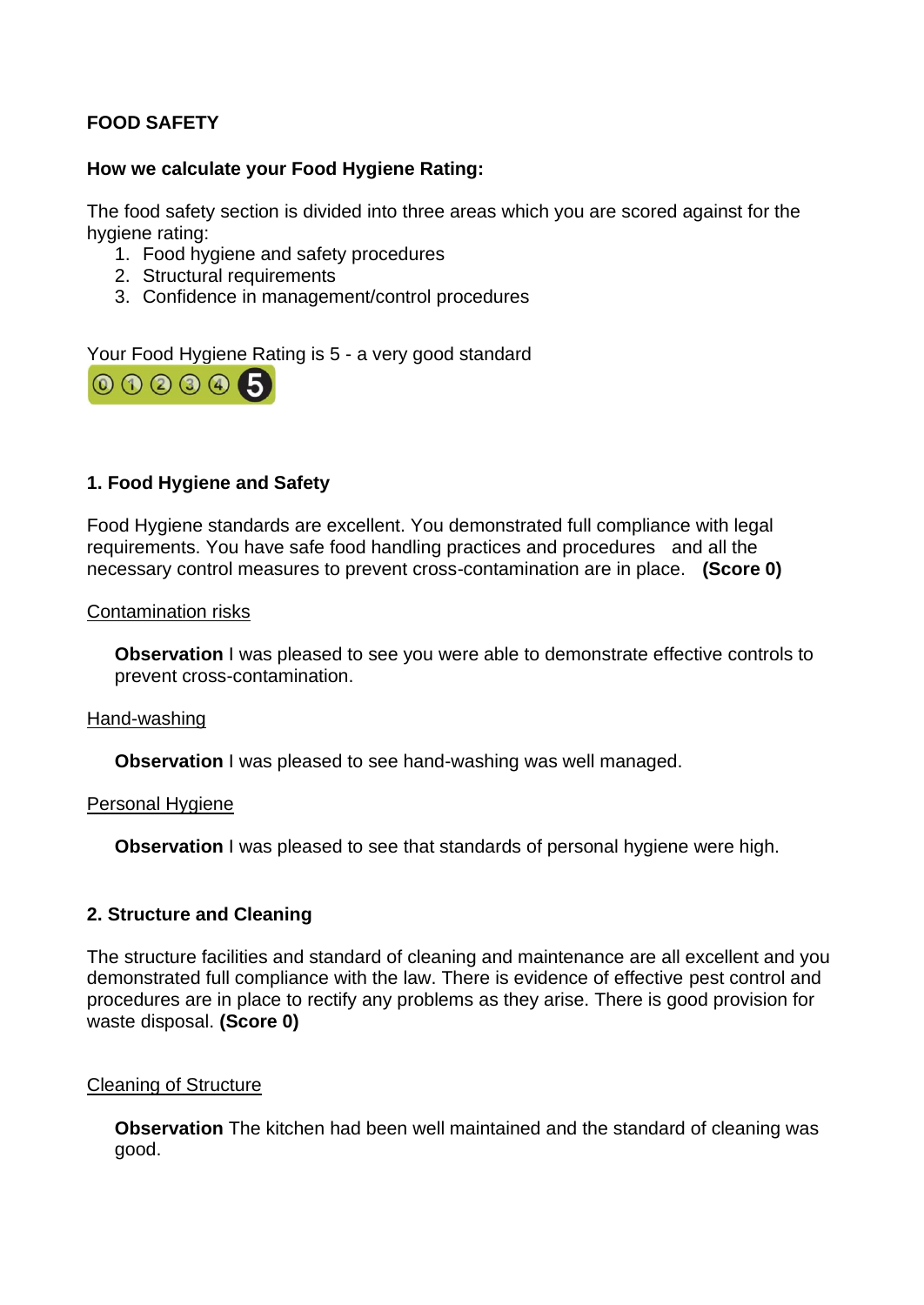# **FOOD SAFETY**

# **How we calculate your Food Hygiene Rating:**

The food safety section is divided into three areas which you are scored against for the hygiene rating:

- 1. Food hygiene and safety procedures
- 2. Structural requirements
- 3. Confidence in management/control procedures

Your Food Hygiene Rating is 5 - a very good standard



# **1. Food Hygiene and Safety**

Food Hygiene standards are excellent. You demonstrated full compliance with legal requirements. You have safe food handling practices and procedures and all the necessary control measures to prevent cross-contamination are in place. **(Score 0)**

#### Contamination risks

**Observation** I was pleased to see you were able to demonstrate effective controls to prevent cross-contamination.

#### Hand-washing

**Observation** I was pleased to see hand-washing was well managed.

#### Personal Hygiene

**Observation** I was pleased to see that standards of personal hygiene were high.

#### **2. Structure and Cleaning**

The structure facilities and standard of cleaning and maintenance are all excellent and you demonstrated full compliance with the law. There is evidence of effective pest control and procedures are in place to rectify any problems as they arise. There is good provision for waste disposal. **(Score 0)**

#### Cleaning of Structure

**Observation** The kitchen had been well maintained and the standard of cleaning was good.